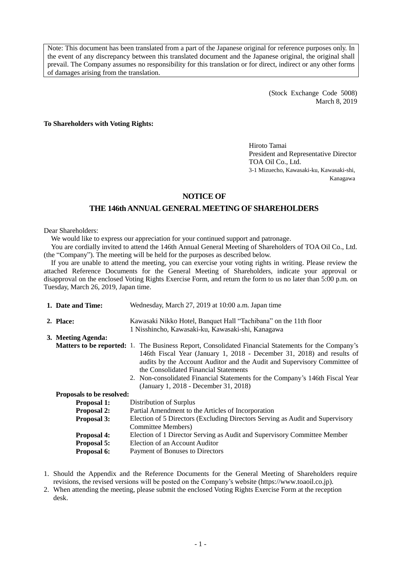Note: This document has been translated from a part of the Japanese original for reference purposes only. In the event of any discrepancy between this translated document and the Japanese original, the original shall prevail. The Company assumes no responsibility for this translation or for direct, indirect or any other forms of damages arising from the translation.

> (Stock Exchange Code 5008) March 8, 2019

**To Shareholders with Voting Rights:**

Hiroto Tamai President and Representative Director TOA Oil Co., Ltd. 3-1 Mizuecho, Kawasaki-ku, Kawasaki-shi, Kanagawa

# **NOTICE OF**

# **THE 146th ANNUAL GENERAL MEETING OF SHAREHOLDERS**

Dear Shareholders:

We would like to express our appreciation for your continued support and patronage.

You are cordially invited to attend the 146th Annual General Meeting of Shareholders of TOA Oil Co., Ltd. (the "Company"). The meeting will be held for the purposes as described below.

If you are unable to attend the meeting, you can exercise your voting rights in writing. Please review the attached Reference Documents for the General Meeting of Shareholders, indicate your approval or disapproval on the enclosed Voting Rights Exercise Form, and return the form to us no later than 5:00 p.m. on Tuesday, March 26, 2019, Japan time.

| Wednesday, March 27, 2019 at 10:00 a.m. Japan time<br>1. Date and Time: |                                                                                                                                                                                                                                                                                                                                                                                                                                    |  |
|-------------------------------------------------------------------------|------------------------------------------------------------------------------------------------------------------------------------------------------------------------------------------------------------------------------------------------------------------------------------------------------------------------------------------------------------------------------------------------------------------------------------|--|
| 2. Place:                                                               | Kawasaki Nikko Hotel, Banquet Hall "Tachibana" on the 11th floor<br>1 Nisshincho, Kawasaki-ku, Kawasaki-shi, Kanagawa                                                                                                                                                                                                                                                                                                              |  |
| 3. Meeting Agenda:                                                      |                                                                                                                                                                                                                                                                                                                                                                                                                                    |  |
|                                                                         | <b>Matters to be reported:</b> 1. The Business Report, Consolidated Financial Statements for the Company's<br>146th Fiscal Year (January 1, 2018 - December 31, 2018) and results of<br>audits by the Account Auditor and the Audit and Supervisory Committee of<br>the Consolidated Financial Statements<br>2. Non-consolidated Financial Statements for the Company's 146th Fiscal Year<br>(January 1, 2018 - December 31, 2018) |  |
| Proposals to be resolved:                                               |                                                                                                                                                                                                                                                                                                                                                                                                                                    |  |
| <b>Proposal 1:</b>                                                      | Distribution of Surplus                                                                                                                                                                                                                                                                                                                                                                                                            |  |
| <b>Proposal 2:</b>                                                      | Partial Amendment to the Articles of Incorporation                                                                                                                                                                                                                                                                                                                                                                                 |  |
| <b>Proposal 3:</b>                                                      | Election of 5 Directors (Excluding Directors Serving as Audit and Supervisory<br>Committee Members)                                                                                                                                                                                                                                                                                                                                |  |
| Proposal 4:                                                             | Election of 1 Director Serving as Audit and Supervisory Committee Member                                                                                                                                                                                                                                                                                                                                                           |  |
| <b>Proposal 5:</b>                                                      | Election of an Account Auditor                                                                                                                                                                                                                                                                                                                                                                                                     |  |
| Proposal 6:                                                             | Payment of Bonuses to Directors                                                                                                                                                                                                                                                                                                                                                                                                    |  |

1. Should the Appendix and the Reference Documents for the General Meeting of Shareholders require revisions, the revised versions will be posted on the Company's website (https://www.toaoil.co.jp).

2. When attending the meeting, please submit the enclosed Voting Rights Exercise Form at the reception desk.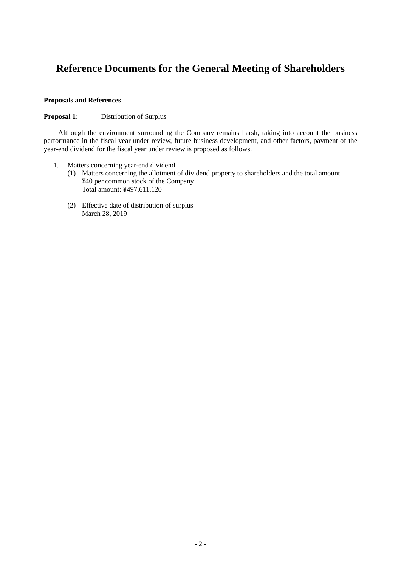# **Reference Documents for the General Meeting of Shareholders**

# **Proposals and References**

# **Proposal 1:** Distribution of Surplus

Although the environment surrounding the Company remains harsh, taking into account the business performance in the fiscal year under review, future business development, and other factors, payment of the year-end dividend for the fiscal year under review is proposed as follows.

- 1. Matters concerning year-end dividend
	- (1) Matters concerning the allotment of dividend property to shareholders and the total amount ¥40 per common stock of the Company Total amount: ¥497,611,120
	- (2) Effective date of distribution of surplus March 28, 2019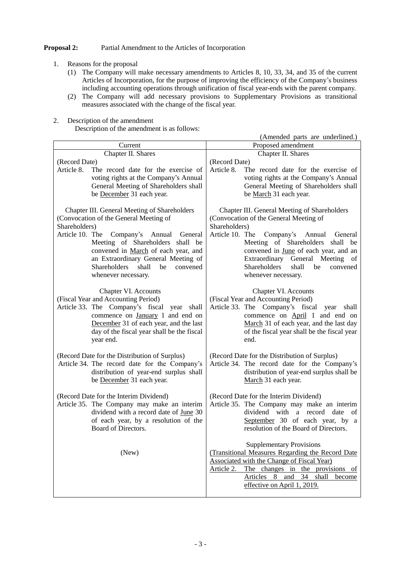# **Proposal 2:** Partial Amendment to the Articles of Incorporation

- 1. Reasons for the proposal
	- (1) The Company will make necessary amendments to Articles 8, 10, 33, 34, and 35 of the current Articles of Incorporation, for the purpose of improving the efficiency of the Company's business including accounting operations through unification of fiscal year-ends with the parent company.
	- (2) The Company will add necessary provisions to Supplementary Provisions as transitional measures associated with the change of the fiscal year.
- 2. Description of the amendment

Description of the amendment is as follows:

|                                                                                                                                                                                                                                                                                                                                               | (Amended parts are underlined.)                                                                                                                                                                                                                                                                                                                        |
|-----------------------------------------------------------------------------------------------------------------------------------------------------------------------------------------------------------------------------------------------------------------------------------------------------------------------------------------------|--------------------------------------------------------------------------------------------------------------------------------------------------------------------------------------------------------------------------------------------------------------------------------------------------------------------------------------------------------|
| Current                                                                                                                                                                                                                                                                                                                                       | Proposed amendment                                                                                                                                                                                                                                                                                                                                     |
| Chapter II. Shares                                                                                                                                                                                                                                                                                                                            | Chapter II. Shares                                                                                                                                                                                                                                                                                                                                     |
| (Record Date)<br>Article 8.<br>The record date for the exercise of<br>voting rights at the Company's Annual<br>General Meeting of Shareholders shall<br>be December 31 each year.                                                                                                                                                             | (Record Date)<br>Article 8.<br>The record date for the exercise of<br>voting rights at the Company's Annual<br>General Meeting of Shareholders shall<br>be March 31 each year.                                                                                                                                                                         |
| Chapter III. General Meeting of Shareholders<br>(Convocation of the General Meeting of<br>Shareholders)<br>Article 10. The<br>Company's Annual<br>General<br>Meeting of Shareholders shall be<br>convened in March of each year, and<br>an Extraordinary General Meeting of<br>Shareholders<br>shall<br>be<br>convened<br>whenever necessary. | Chapter III. General Meeting of Shareholders<br>(Convocation of the General Meeting of<br>Shareholders)<br>Article 10. The<br>Company's Annual<br>General<br>Meeting of Shareholders shall be<br>convened in June of each year, and an<br>General Meeting of<br>Extraordinary<br><b>Shareholders</b><br>shall<br>be<br>convened<br>whenever necessary. |
| Chapter VI. Accounts<br>(Fiscal Year and Accounting Period)<br>Article 33. The Company's fiscal year shall<br>commence on January 1 and end on<br>December 31 of each year, and the last<br>day of the fiscal year shall be the fiscal<br>year end.                                                                                           | Chapter VI. Accounts<br>(Fiscal Year and Accounting Period)<br>Article 33. The Company's fiscal year shall<br>commence on April 1 and end on<br>March 31 of each year, and the last day<br>of the fiscal year shall be the fiscal year<br>end.                                                                                                         |
| (Record Date for the Distribution of Surplus)<br>Article 34. The record date for the Company's<br>distribution of year-end surplus shall<br>be December 31 each year.                                                                                                                                                                         | (Record Date for the Distribution of Surplus)<br>Article 34. The record date for the Company's<br>distribution of year-end surplus shall be<br>March 31 each year.                                                                                                                                                                                     |
| (Record Date for the Interim Dividend)<br>Article 35. The Company may make an interim<br>dividend with a record date of June 30<br>of each year, by a resolution of the<br>Board of Directors.                                                                                                                                                | (Record Date for the Interim Dividend)<br>Article 35. The Company may make an interim<br>dividend with a record date<br>of<br>September 30 of each year, by a<br>resolution of the Board of Directors.                                                                                                                                                 |
| (New)                                                                                                                                                                                                                                                                                                                                         | <b>Supplementary Provisions</b><br>(Transitional Measures Regarding the Record Date<br>Associated with the Change of Fiscal Year)<br>Article 2. The changes in the provisions of<br>Articles 8 and 34 shall become<br>effective on April 1, 2019.                                                                                                      |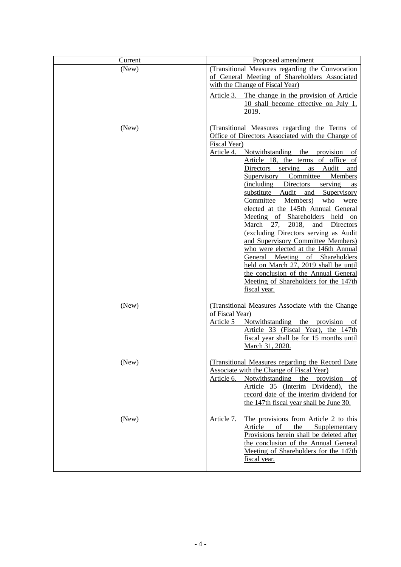| Current | Proposed amendment                                                                                                                                                                                                                                                                                                                                                                                                                                                                                                                                                                                                                                                                                                                                                                                                                                                          |
|---------|-----------------------------------------------------------------------------------------------------------------------------------------------------------------------------------------------------------------------------------------------------------------------------------------------------------------------------------------------------------------------------------------------------------------------------------------------------------------------------------------------------------------------------------------------------------------------------------------------------------------------------------------------------------------------------------------------------------------------------------------------------------------------------------------------------------------------------------------------------------------------------|
| (New)   | (Transitional Measures regarding the Convocation<br>of General Meeting of Shareholders Associated<br>with the Change of Fiscal Year)                                                                                                                                                                                                                                                                                                                                                                                                                                                                                                                                                                                                                                                                                                                                        |
|         | Article 3. The change in the provision of Article<br>10 shall become effective on July 1,<br><u>2019.</u>                                                                                                                                                                                                                                                                                                                                                                                                                                                                                                                                                                                                                                                                                                                                                                   |
| (New)   | (Transitional Measures regarding the Terms of<br>Office of Directors Associated with the Change of<br>Fiscal Year)<br>Notwithstanding<br>Article 4.<br>the<br>provision<br>Οİ<br>Article 18, the terms of office of<br>Directors serving<br>Audit<br>as<br>and<br>Committee<br><b>Supervisory</b><br>Members<br>(including Directors<br>serving<br>as<br>substitute Audit<br>and<br>Supervisory<br>Members)<br>who were<br>Committee<br>elected at the 145th Annual General<br>Meeting<br>of Shareholders<br>held<br>on<br>March<br>2018,<br>27.<br>and<br>Directors<br>(excluding Directors serving as Audit<br>and Supervisory Committee Members)<br>who were elected at the 146th Annual<br>General Meeting<br>of Shareholders<br>held on March 27, 2019 shall be until<br>the conclusion of the Annual General<br>Meeting of Shareholders for the 147th<br>fiscal year. |
| (New)   | (Transitional Measures Associate with the Change<br>of Fiscal Year)<br>Notwithstanding the<br>Article 5<br>provision<br>Οİ<br>Article 33 (Fiscal Year), the 147th<br>fiscal year shall be for 15 months until<br>March 31, 2020.                                                                                                                                                                                                                                                                                                                                                                                                                                                                                                                                                                                                                                            |
| (New)   | (Transitional Measures regarding the Record Date<br><b>Associate with the Change of Fiscal Year)</b><br>Article 6.<br>Notwithstanding<br>the<br>provision<br>of<br>Article 35 (Interim Dividend),<br>the<br>record date of the interim dividend for<br>the 147th fiscal year shall be June 30.                                                                                                                                                                                                                                                                                                                                                                                                                                                                                                                                                                              |
| (New)   | Article 7.<br>The provisions from Article 2 to this<br>Article<br>of<br>the<br>Supplementary<br>Provisions herein shall be deleted after<br>the conclusion of the Annual General<br>Meeting of Shareholders for the 147th<br>fiscal year.                                                                                                                                                                                                                                                                                                                                                                                                                                                                                                                                                                                                                                   |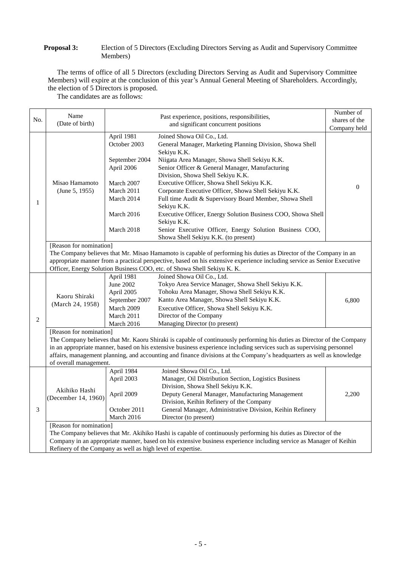### **Proposal 3:** Election of 5 Directors (Excluding Directors Serving as Audit and Supervisory Committee Members)

The terms of office of all 5 Directors (excluding Directors Serving as Audit and Supervisory Committee Members) will expire at the conclusion of this year's Annual General Meeting of Shareholders. Accordingly, the election of 5 Directors is proposed.

The candidates are as follows:

|                | Name                                                                                                                                               |                              |                                                                                                                          | Number of     |  |
|----------------|----------------------------------------------------------------------------------------------------------------------------------------------------|------------------------------|--------------------------------------------------------------------------------------------------------------------------|---------------|--|
| No.            | (Date of birth)                                                                                                                                    |                              | Past experience, positions, responsibilities,                                                                            | shares of the |  |
|                |                                                                                                                                                    |                              | and significant concurrent positions                                                                                     | Company held  |  |
|                | Misao Hamamoto<br>(June 5, 1955)                                                                                                                   | April 1981                   | Joined Showa Oil Co., Ltd.                                                                                               |               |  |
|                |                                                                                                                                                    | October 2003                 | General Manager, Marketing Planning Division, Showa Shell                                                                |               |  |
|                |                                                                                                                                                    |                              | Sekiyu K.K.                                                                                                              |               |  |
|                |                                                                                                                                                    | September 2004               | Niigata Area Manager, Showa Shell Sekiyu K.K.                                                                            |               |  |
|                |                                                                                                                                                    | April 2006                   | Senior Officer & General Manager, Manufacturing                                                                          |               |  |
|                |                                                                                                                                                    |                              | Division, Showa Shell Sekiyu K.K.                                                                                        |               |  |
|                |                                                                                                                                                    | March 2007                   | Executive Officer, Showa Shell Sekiyu K.K.                                                                               | $\mathbf{0}$  |  |
|                |                                                                                                                                                    | March 2011                   | Corporate Executive Officer, Showa Shell Sekiyu K.K.                                                                     |               |  |
| 1              |                                                                                                                                                    | March 2014                   | Full time Audit & Supervisory Board Member, Showa Shell                                                                  |               |  |
|                |                                                                                                                                                    |                              | Sekiyu K.K.                                                                                                              |               |  |
|                |                                                                                                                                                    | March 2016                   | Executive Officer, Energy Solution Business COO, Showa Shell                                                             |               |  |
|                |                                                                                                                                                    |                              | Sekiyu K.K.                                                                                                              |               |  |
|                |                                                                                                                                                    | March 2018                   | Senior Executive Officer, Energy Solution Business COO,                                                                  |               |  |
|                |                                                                                                                                                    |                              | Showa Shell Sekiyu K.K. (to present)                                                                                     |               |  |
|                | [Reason for nomination]                                                                                                                            |                              |                                                                                                                          |               |  |
|                |                                                                                                                                                    |                              | The Company believes that Mr. Misao Hamamoto is capable of performing his duties as Director of the Company in an        |               |  |
|                |                                                                                                                                                    |                              | appropriate manner from a practical perspective, based on his extensive experience including service as Senior Executive |               |  |
|                |                                                                                                                                                    |                              | Officer, Energy Solution Business COO, etc. of Showa Shell Sekiyu K. K.<br>Joined Showa Oil Co., Ltd.                    |               |  |
|                |                                                                                                                                                    | April 1981<br>June 2002      | Tokyo Area Service Manager, Showa Shell Sekiyu K.K.                                                                      |               |  |
|                |                                                                                                                                                    |                              | Tohoku Area Manager, Showa Shell Sekiyu K.K.                                                                             |               |  |
|                | Kaoru Shiraki                                                                                                                                      | April 2005<br>September 2007 | Kanto Area Manager, Showa Shell Sekiyu K.K.                                                                              | 6,800         |  |
|                | (March 24, 1958)                                                                                                                                   | March 2009                   | Executive Officer, Showa Shell Sekiyu K.K.                                                                               |               |  |
|                |                                                                                                                                                    | March 2011                   | Director of the Company                                                                                                  |               |  |
| $\overline{2}$ |                                                                                                                                                    | March 2016                   | Managing Director (to present)                                                                                           |               |  |
|                |                                                                                                                                                    |                              |                                                                                                                          |               |  |
|                | [Reason for nomination]<br>The Company believes that Mr. Kaoru Shiraki is capable of continuously performing his duties as Director of the Company |                              |                                                                                                                          |               |  |
|                | in an appropriate manner, based on his extensive business experience including services such as supervising personnel                              |                              |                                                                                                                          |               |  |
|                | affairs, management planning, and accounting and finance divisions at the Company's headquarters as well as knowledge                              |                              |                                                                                                                          |               |  |
|                | of overall management.                                                                                                                             |                              |                                                                                                                          |               |  |
|                |                                                                                                                                                    | April 1984                   | Joined Showa Oil Co., Ltd.                                                                                               |               |  |
|                | Akihiko Hashi<br>(December 14, 1960)                                                                                                               | April 2003                   | Manager, Oil Distribution Section, Logistics Business                                                                    |               |  |
|                |                                                                                                                                                    |                              | Division, Showa Shell Sekiyu K.K.                                                                                        |               |  |
|                |                                                                                                                                                    | April 2009                   | Deputy General Manager, Manufacturing Management                                                                         | 2,200         |  |
|                |                                                                                                                                                    |                              | Division, Keihin Refinery of the Company                                                                                 |               |  |
| 3              |                                                                                                                                                    | October 2011                 | General Manager, Administrative Division, Keihin Refinery                                                                |               |  |
|                |                                                                                                                                                    | March 2016                   | Director (to present)                                                                                                    |               |  |
|                | [Reason for nomination]                                                                                                                            |                              |                                                                                                                          |               |  |
|                |                                                                                                                                                    |                              | The Company believes that Mr. Akihiko Hashi is capable of continuously performing his duties as Director of the          |               |  |
|                | Company in an appropriate manner, based on his extensive business experience including service as Manager of Keihin                                |                              |                                                                                                                          |               |  |
|                | Refinery of the Company as well as high level of expertise.                                                                                        |                              |                                                                                                                          |               |  |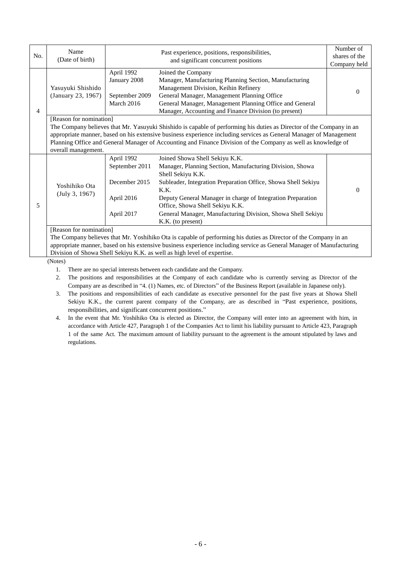| No. | Name<br>(Date of birth)                                                                                            |                | Past experience, positions, responsibilities,<br>and significant concurrent positions                                | Number of<br>shares of the |  |
|-----|--------------------------------------------------------------------------------------------------------------------|----------------|----------------------------------------------------------------------------------------------------------------------|----------------------------|--|
|     |                                                                                                                    | April 1992     | Joined the Company                                                                                                   | Company held               |  |
|     | Yasuyuki Shishido<br>(January 23, 1967)                                                                            | January 2008   | Manager, Manufacturing Planning Section, Manufacturing                                                               |                            |  |
|     |                                                                                                                    |                | Management Division, Keihin Refinery                                                                                 | $\Omega$                   |  |
|     |                                                                                                                    | September 2009 | General Manager, Management Planning Office                                                                          |                            |  |
|     |                                                                                                                    | March 2016     | General Manager, Management Planning Office and General                                                              |                            |  |
| 4   |                                                                                                                    |                | Manager, Accounting and Finance Division (to present)                                                                |                            |  |
|     | [Reason for nomination]                                                                                            |                |                                                                                                                      |                            |  |
|     |                                                                                                                    |                | The Company believes that Mr. Yasuyuki Shishido is capable of performing his duties as Director of the Company in an |                            |  |
|     | appropriate manner, based on his extensive business experience including services as General Manager of Management |                |                                                                                                                      |                            |  |
|     |                                                                                                                    |                | Planning Office and General Manager of Accounting and Finance Division of the Company as well as knowledge of        |                            |  |
|     | overall management.                                                                                                |                |                                                                                                                      |                            |  |
|     | Yoshihiko Ota<br>(July 3, 1967)                                                                                    | April 1992     | Joined Showa Shell Sekiyu K.K.                                                                                       |                            |  |
|     |                                                                                                                    | September 2011 | Manager, Planning Section, Manufacturing Division, Showa<br>Shell Sekiyu K.K.                                        |                            |  |
|     |                                                                                                                    | December 2015  | Subleader, Integration Preparation Office, Showa Shell Sekiyu<br>K.K.                                                | $\theta$                   |  |
| 5   |                                                                                                                    | April 2016     | Deputy General Manager in charge of Integration Preparation<br>Office, Showa Shell Sekiyu K.K.                       |                            |  |
|     |                                                                                                                    | April 2017     | General Manager, Manufacturing Division, Showa Shell Sekiyu<br>K.K. (to present)                                     |                            |  |
|     | [Reason for nomination]                                                                                            |                |                                                                                                                      |                            |  |
|     |                                                                                                                    |                | The Company believes that Mr. Yoshihiko Ota is capable of performing his duties as Director of the Company in an     |                            |  |
|     |                                                                                                                    |                | appropriate manner, based on his extensive business experience including service as General Manager of Manufacturing |                            |  |
|     | Division of Showa Shell Sekiyu K.K. as well as high level of expertise.                                            |                |                                                                                                                      |                            |  |

(Notes)

1. There are no special interests between each candidate and the Company.

- 2. The positions and responsibilities at the Company of each candidate who is currently serving as Director of the Company are as described in "4. (1) Names, etc. of Directors" of the Business Report (available in Japanese only).
- 3. The positions and responsibilities of each candidate as executive personnel for the past five years at Showa Shell Sekiyu K.K., the current parent company of the Company, are as described in "Past experience, positions, responsibilities, and significant concurrent positions."
- 4. In the event that Mr. Yoshihiko Ota is elected as Director, the Company will enter into an agreement with him, in accordance with Article 427, Paragraph 1 of the Companies Act to limit his liability pursuant to Article 423, Paragraph 1 of the same Act. The maximum amount of liability pursuant to the agreement is the amount stipulated by laws and regulations.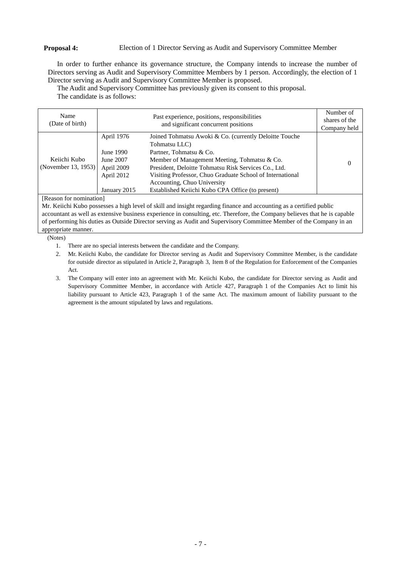# **Proposal 4:** Election of 1 Director Serving as Audit and Supervisory Committee Member

In order to further enhance its governance structure, the Company intends to increase the number of Directors serving as Audit and Supervisory Committee Members by 1 person. Accordingly, the election of 1 Director serving as Audit and Supervisory Committee Member is proposed.

The Audit and Supervisory Committee has previously given its consent to this proposal. The candidate is as follows:

| Name<br>(Date of birth) | Past experience, positions, responsibilities<br>and significant concurrent positions |                                                                         | Number of<br>shares of the<br>Company held |
|-------------------------|--------------------------------------------------------------------------------------|-------------------------------------------------------------------------|--------------------------------------------|
|                         | April 1976                                                                           | Joined Tohmatsu Awoki & Co. (currently Deloitte Touche<br>Tohmatsu LLC) |                                            |
|                         | June 1990                                                                            | Partner, Tohmatsu & Co.                                                 | $\theta$                                   |
| Keiichi Kubo            | June 2007                                                                            | Member of Management Meeting, Tohmatsu & Co.                            |                                            |
| (November 13, 1953)     | April 2009                                                                           | President, Deloitte Tohmatsu Risk Services Co., Ltd.                    |                                            |
|                         | April 2012                                                                           | Visiting Professor, Chuo Graduate School of International               |                                            |
|                         |                                                                                      | Accounting, Chuo University                                             |                                            |
|                         | January 2015                                                                         | Established Keiichi Kubo CPA Office (to present)                        |                                            |

[Reason for nomination]

Mr. Keiichi Kubo possesses a high level of skill and insight regarding finance and accounting as a certified public accountant as well as extensive business experience in consulting, etc. Therefore, the Company believes that he is capable of performing his duties as Outside Director serving as Audit and Supervisory Committee Member of the Company in an appropriate manner.

(Notes)

- 1. There are no special interests between the candidate and the Company.
- 2. Mr. Keiichi Kubo, the candidate for Director serving as Audit and Supervisory Committee Member, is the candidate for outside director as stipulated in Article 2, Paragraph 3, Item 8 of the Regulation for Enforcement of the Companies Act.
- 3. The Company will enter into an agreement with Mr. Keiichi Kubo, the candidate for Director serving as Audit and Supervisory Committee Member, in accordance with Article 427, Paragraph 1 of the Companies Act to limit his liability pursuant to Article 423, Paragraph 1 of the same Act. The maximum amount of liability pursuant to the agreement is the amount stipulated by laws and regulations.